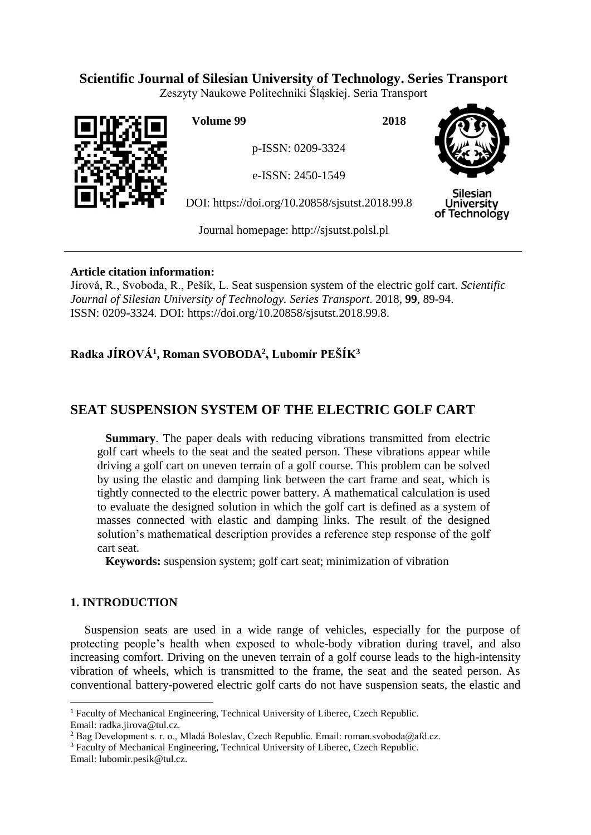# **Scientific Journal of Silesian University of Technology. Series Transport**

Zeszyty Naukowe Politechniki Śląskiej. Seria Transport



**Volume 99 2018**

p-ISSN: 0209-3324

e-ISSN: 2450-1549

DOI: https://doi.org/10.20858/sjsutst.2018.99.8



Silesian **University** of Technology

Journal homepage: [http://sjsutst.polsl.pl](http://sjsutst.polsl.pl/)

## **Article citation information:**

Jírová, R., Svoboda, R., Pešík, L. Seat suspension system of the electric golf cart. *Scientific Journal of Silesian University of Technology. Series Transport*. 2018, **99**, 89-94. ISSN: 0209-3324. DOI: https://doi.org/10.20858/sjsutst.2018.99.8.

# **Radka JÍROVÁ<sup>1</sup> , Roman SVOBODA<sup>2</sup> , Lubomír PEŠÍK<sup>3</sup>**

# **SEAT SUSPENSION SYSTEM OF THE ELECTRIC GOLF CART**

**Summary**. The paper deals with reducing vibrations transmitted from electric golf cart wheels to the seat and the seated person. These vibrations appear while driving a golf cart on uneven terrain of a golf course. This problem can be solved by using the elastic and damping link between the cart frame and seat, which is tightly connected to the electric power battery. A mathematical calculation is used to evaluate the designed solution in which the golf cart is defined as a system of masses connected with elastic and damping links. The result of the designed solution's mathematical description provides a reference step response of the golf cart seat.

**Keywords:** suspension system; golf cart seat; minimization of vibration

## **1. INTRODUCTION**

Suspension seats are used in a wide range of vehicles, especially for the purpose of protecting people's health when exposed to whole-body vibration during travel, and also increasing comfort. Driving on the uneven terrain of a golf course leads to the high-intensity vibration of wheels, which is transmitted to the frame, the seat and the seated person. As conventional battery-powered electric golf carts do not have suspension seats, the elastic and

 $\overline{a}$ 

<sup>&</sup>lt;sup>1</sup> Faculty of Mechanical Engineering, Technical University of Liberec, Czech Republic. Email: radka.jirova@tul.cz.

<sup>&</sup>lt;sup>2</sup> Bag Development s. r. o., Mladá Boleslav, Czech Republic. Email: roman.svoboda@afd.cz.

<sup>&</sup>lt;sup>3</sup> Faculty of Mechanical Engineering, Technical University of Liberec, Czech Republic.

Email: lubomir.pesi[k@tul.c](mailto:adam.nowak@polsl.pl)z.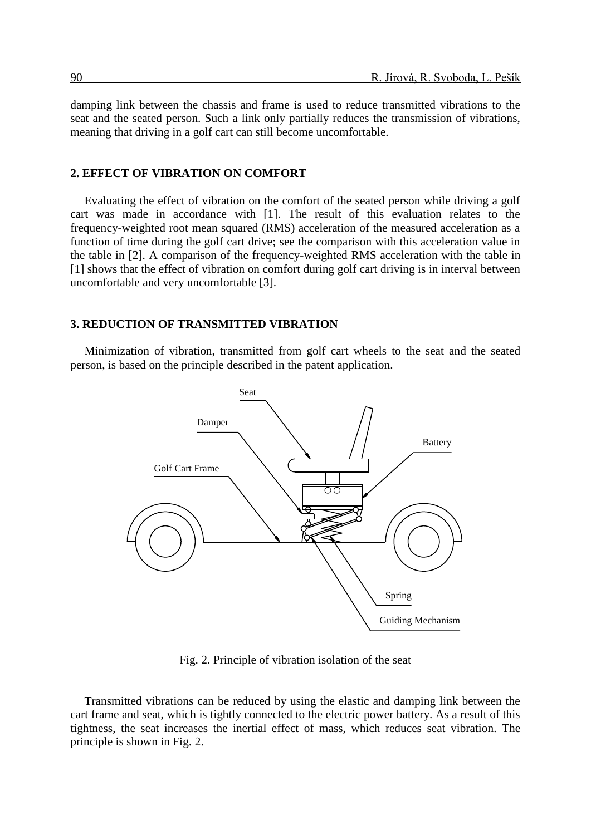damping link between the chassis and frame is used to reduce transmitted vibrations to the seat and the seated person. Such a link only partially reduces the transmission of vibrations, meaning that driving in a golf cart can still become uncomfortable.

#### **2. EFFECT OF VIBRATION ON COMFORT**

Evaluating the effect of vibration on the comfort of the seated person while driving a golf cart was made in accordance with [1]. The result of this evaluation relates to the frequency-weighted root mean squared (RMS) acceleration of the measured acceleration as a function of time during the golf cart drive; see the comparison with this acceleration value in the table in [2]. A comparison of the frequency-weighted RMS acceleration with the table in [1] shows that the effect of vibration on comfort during golf cart driving is in interval between uncomfortable and very uncomfortable [3].

### **3. REDUCTION OF TRANSMITTED VIBRATION**

Minimization of vibration, transmitted from golf cart wheels to the seat and the seated person, is based on the principle described in the patent application.



Fig. 2. Principle of vibration isolation of the seat

Transmitted vibrations can be reduced by using the elastic and damping link between the cart frame and seat, which is tightly connected to the electric power battery. As a result of this tightness, the seat increases the inertial effect of mass, which reduces seat vibration. The principle is shown in Fig. 2.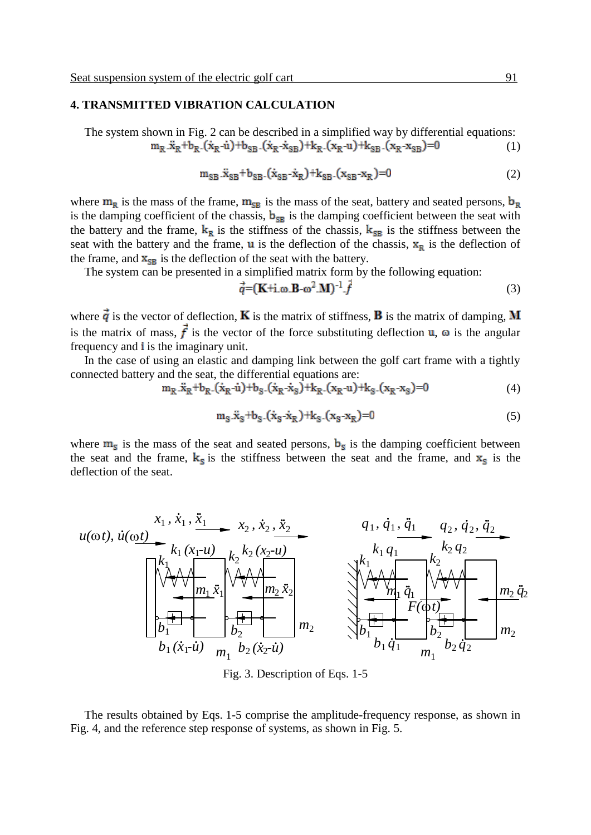### **4. TRANSMITTED VIBRATION CALCULATION**

The system shown in Fig. 2 can be described in a simplified way by differential equations:  $m_R \cdot \ddot{x}_R + b_R \cdot (\dot{x}_R - \dot{u}) + b_{SR} \cdot (\dot{x}_R - \dot{x}_{SR}) + k_R \cdot (x_R - u) + k_{SR} \cdot (x_R - x_{SR}) = 0$ (1)

$$
m_{SB}.\ddot{x}_{SB} + b_{SB}.\dot{(x}_{SB} - \dot{x}_R) + k_{SB}.\dot{(x}_{SB} - x_R) = 0
$$
 (2)

where  $m_R$  is the mass of the frame,  $m_{SB}$  is the mass of the seat, battery and seated persons,  $b_R$ is the damping coefficient of the chassis,  $\mathbf{b}_{\text{SB}}$  is the damping coefficient between the seat with the battery and the frame,  $k_R$  is the stiffness of the chassis,  $k_{SB}$  is the stiffness between the seat with the battery and the frame,  $\bf{u}$  is the deflection of the chassis,  $\bf{x}_R$  is the deflection of the frame, and  $\mathbf{x}_{\text{SR}}$  is the deflection of the seat with the battery.

The system can be presented in a simplified matrix form by the following equation:

$$
\vec{q} = (\mathbf{K} + \mathbf{i} \cdot \mathbf{\omega} \cdot \mathbf{B} - \mathbf{\omega}^2 \cdot \mathbf{M})^{-1} \cdot \vec{f} \tag{3}
$$

where  $\vec{q}$  is the vector of deflection, **K** is the matrix of stiffness, **B** is the matrix of damping, **M** is the matrix of mass,  $\vec{f}$  is the vector of the force substituting deflection **u**,  $\omega$  is the angular frequency and is the imaginary unit.

In the case of using an elastic and damping link between the golf cart frame with a tightly connected battery and the seat, the differential equations are:

$$
m_R .\ddot{x}_R + b_R .(\dot{x}_R - \dot{u}) + b_S .(\dot{x}_R - \dot{x}_S) + k_R .(x_R - u) + k_S .(x_R - x_S) = 0 \tag{4}
$$

$$
m_S. \ddot{x}_S + b_S. (\dot{x}_S - \dot{x}_R) + k_S. (x_S - x_R) = 0 \tag{5}
$$

where  $m_s$  is the mass of the seat and seated persons,  $b_s$  is the damping coefficient between the seat and the frame,  $k_s$  is the stiffness between the seat and the frame, and  $x_s$  is the deflection of the seat.

$$
u(\omega t), \, \dot{u}(\omega t) = \n\begin{bmatrix}\nx_1, \, \dot{x}_1, \, \ddot{x}_1 & x_2, \, \dot{x}_2, \, \ddot{x}_2 \\
k_1(x_1 \cdot u) & k_2 \cdot (x_2 \cdot u) & k_1 \cdot q_1 \\
k_1 \cdot (x_1 \cdot u) & k_2 \cdot (x_2 \cdot u) & k_2 \cdot (x_2 \cdot u) \\
k_1 \cdot \ddot{x}_1 & k_2 \cdot (x_2 \cdot u) & k_1 \cdot q_1 \\
k_2 \cdot \ddot{x}_2 & k_2 \cdot q_2 & k_2 \cdot q_2 \\
k_1 \cdot \ddot{x}_1 & k_2 \cdot q_2 & k_2 \cdot q_2 \\
k_1 \cdot \ddot{x}_1 & k_2 \cdot q_2 & k_2 \cdot q_2 \\
k_1 \cdot \ddot{x}_1 & k_2 \cdot q_2 & k_2 \cdot q_2 & k_2 \cdot q_2 \\
k_1 \cdot \ddot{x}_1 & k_2 \cdot q_2 & k_2 \cdot q_2 & k_2 \cdot q_2\n\end{bmatrix}
$$

Fig. 3. Description of Eqs. 1-5

Fig. 4, and the reference step response of systems, as shown in Fig. 5. The results obtained by Eqs. 1-5 comprise the amplitude-frequency response, as shown in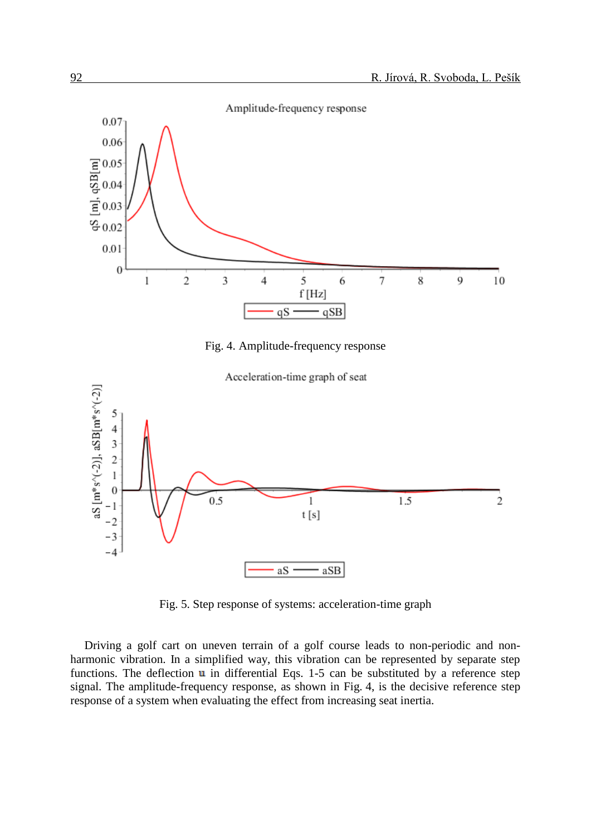



Fig. 5. Step response of systems: acceleration-time graph

Driving a golf cart on uneven terrain of a golf course leads to non-periodic and nonharmonic vibration. In a simplified way, this vibration can be represented by separate step functions. The deflection  $\bf{u}$  in differential Eqs. 1-5 can be substituted by a reference step signal. The amplitude-frequency response, as shown in Fig. 4, is the decisive reference step response of a system when evaluating the effect from increasing seat inertia.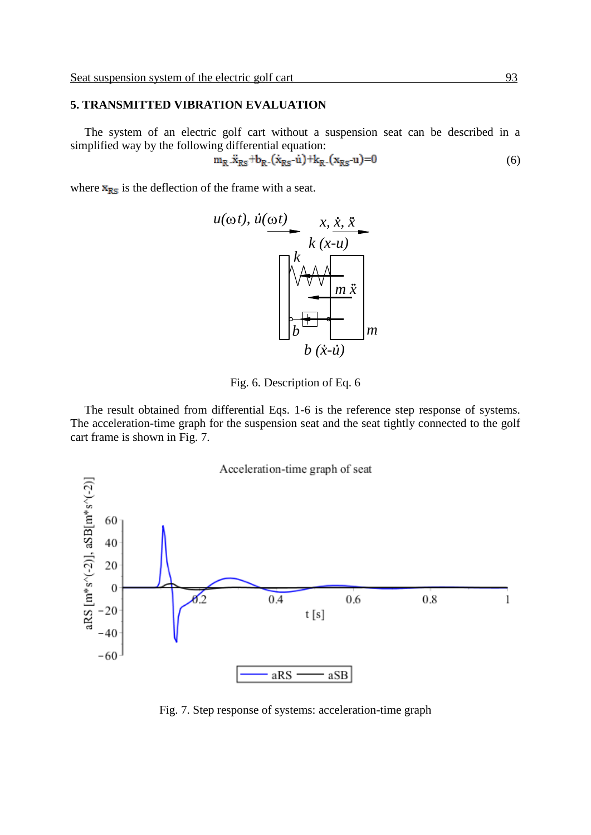#### **5. TRANSMITTED VIBRATION EVALUATION** *m*

The system of an electric golf cart without a suspension seat can be described in a political way by the following differential equation. Ine system or an electric goir cart without a<br>simplified way by the following differential equation:  $3$  can be de *b* 2 <sup>1</sup> *b m* 1 *b*2

$$
m_R . \ddot{x}_{RS} + b_R . (\dot{x}_{RS} - \dot{u}) + k_R . (x_{RS} - u) = 0 \tag{6}
$$

1

*m q*

1

where  $\mathbf{x}_{\text{RS}}$  is the deflection of the frame with a seat.



Fig. 6. Description of Eq. 6

The result obtained from differential Eqs. 1-6 is the reference step response of systems. The acceleration-time graph for the suspension seat and the seat tightly connected to the golf cart frame is shown in Fig. 7.



Fig. 7. Step response of systems: acceleration-time graph